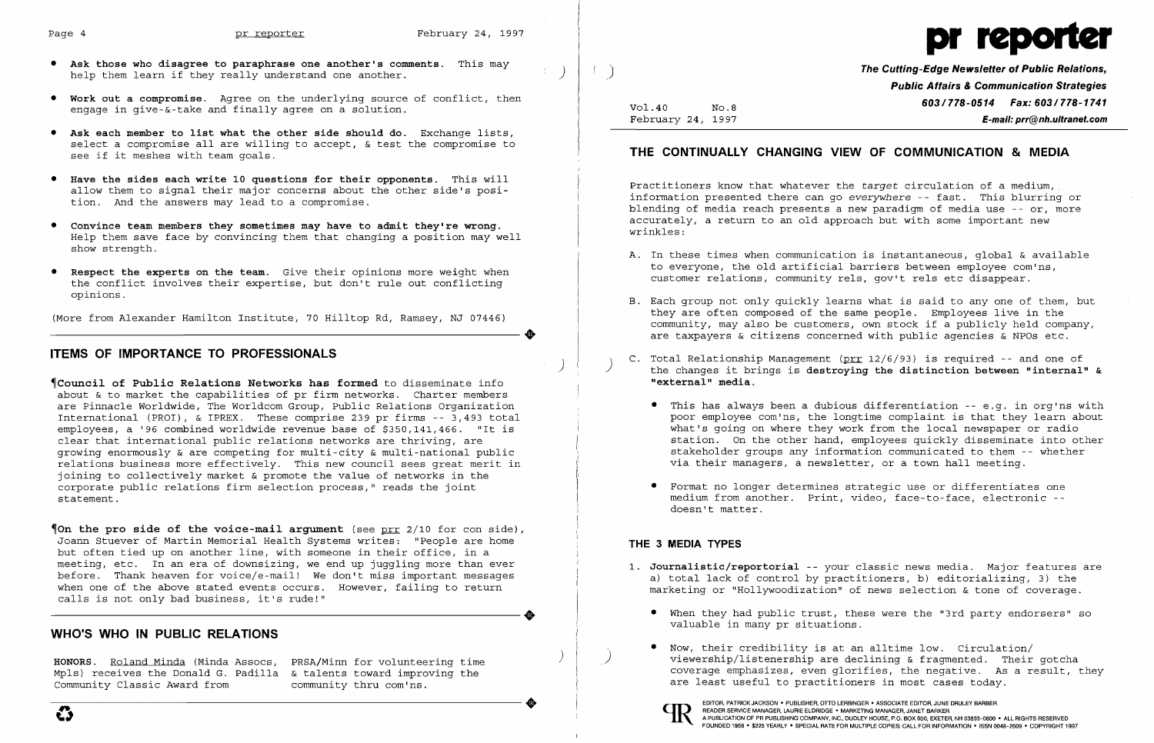)

- Ask those who disagree to paraphrase one another's comments. This may help them learn if they really understand one another.
- **•** Work out a compromise. Agree on the underlying source of conflict, then engage in give-&-take and finally agree on a solution.
- **•** Ask each member to list what the other side should do. Exchange lists, select a compromise all are willing to accept, & test the compromise to see if it meshes with team goals.
- • Have the sides each write 10 questions for their opponents. This will allow them to signal their major concerns about the other side's position. And the answers may lead to a compromise.
- • Convince team members they sometimes may have to admit they're wrong. Help them save face by convincing them that changing a position may well show strength.
- Respect the experts on the team. Give their opinions more weight when the conflict involves their expertise, but don't rule out conflicting opinions.

**\Council of Public Relations Networks has formed** to disseminate info about & to market the capabilities of pr firm networks. Charter members are Pinnacle Worldwide, The Worldcom Group, Public Relations Organization International (PROI), & IPREX. These comprise 239 pr firms -- 3,493 total employees, a '96 combined worldwide revenue base of \$350,141,466. "It is clear that international public relations networks are thriving, are growing enormously & are competing for multi-city & multi-national public relations business more effectively. This new council sees great merit in joining to collectively market & promote the value of networks in the corporate public relations firm selection process," reads the joint statement.

(More from Alexander Hamilton Institute, 70 Hilltop Rd, Ramsey, NJ 07446) ----------------------+

# ITEMS OF IMPORTANCE TO PROFESSIONALS

)

 $\phi$  on the pro side of the voice-mail argument (see prr 2/10 for con side), Joann Stuever of Martin Memorial Health Systems writes: "People are home but often tied up on another line, with someone in their office, in a meeting, etc. In an era of downsizing, we end up juggling more than ever before. Thank heaven for voice/e-mail! We don't miss important messages when one of the above stated events occurs. However, failing to return calls is not only bad business, it's rude!" calls is not only bad business, it's rude!"

(edge Newsletter of Public Relations, **Public Attairs & Communication Strategies** Vol.40 No.8 **No.8** Research Mo.8 **603/778-0514 Fax: 603/778-1741** February 24, 1997 E-mail: prr@nh.ultranet.com

A. In these times when communication is instantaneous, global & available

• This has always been a dubious differentiation -- e.g. in org'ns with poor employee com'ns, the longtime complaint is that they learn about what's going on where they work from the local newspaper or radio station. On the other hand, employees quickly disseminate into other stakeholder groups any information communicated to them -- whether

# WHO'S WHO IN PUBLIC RELATIONS

- 1. Journalistic/reportorial -- your classic news media. Major features are
	- • When they had public trust, these were the "3rd party endorsers" so valuable in many pr situations.
	- • Now, their credibility is at an alltime low. Circulation/ are least useful to practitioners in most cases today.



) HONORS. Roland Minda (Minda Assocs, PRSA/Minn for volunteering time Mpls) receives the Donald G. Padilla & talents toward improving the<br>Community Classic Award from community thru com'ns. Community Classic Award from community thru com'ns.





## THE CONTINUALLY CHANGING VIEW OF COMMUNICATION & MEDIA

Practitioners know that whatever the *target* circulation of a medium, information presented there can go *everywhere* -- fast. This blurring or blending of media reach presents a new paradigm of media use -- or, more accurately, a return to an old approach but with some important new wrinkles:

they are often composed of the same people. Employees live in the community, may also be customers, own stock if a publicly held company, are taxpayers & citizens concerned with public agencies & NPOs etc.

C. Total Relationship Management ( $prr$  12/6/93) is required -- and one of the changes it brings is destroying the distinction between "internal" &

- to everyone, the old artificial barriers between employee com'ns, customer relations, community rels, gov't rels etc disappear.
- B. Each group not only quickly learns what is said to anyone of them, but
- "external" media.
	- via their managers, a newsletter, or a town hall meeting.
	- • Format no longer determines strategic use or differentiates one doesn't matter.

medium from another. Print, video, face-to-face, electronic -

### THE 3 MEDIA TYPES

)

a) total lack of control by practitioners, b) editorializing, 3) the marketing or "Hollywoodization" of news selection & tone of coverage.

viewership/listenership are declining & fragmented. Their gotcha coverage emphasizes, even glorifies, the negative. As a result, they